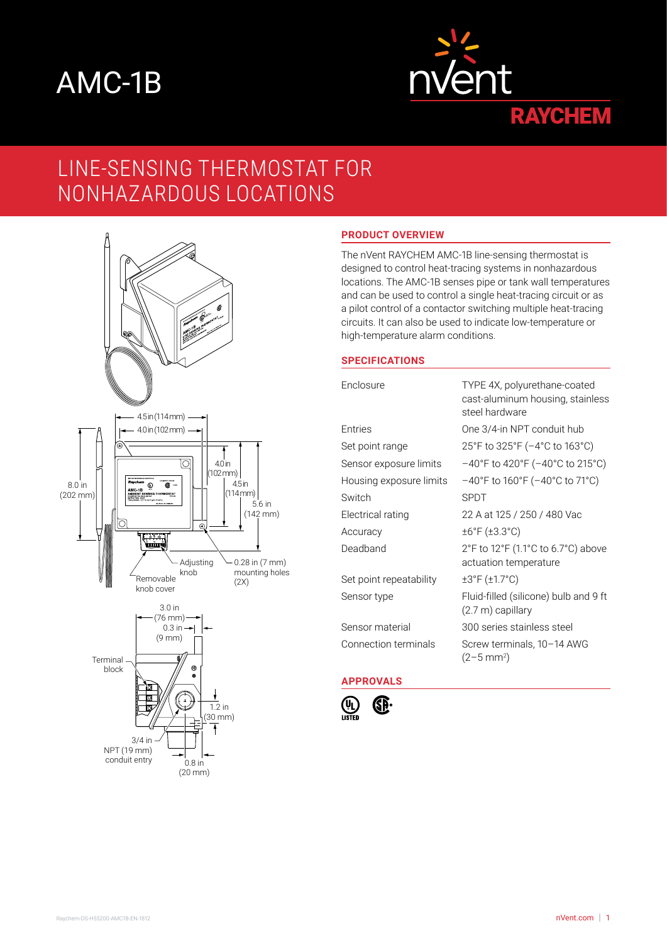# AMC-1B



# LINE-SENSING THERMOSTAT FOR NONHAZARDOUS LOCATIONS



### **PRODUCT OVERVIEW**

The nVent RAYCHEM AMC-1B line-sensing thermostat is designed to control heat-tracing systems in nonhazardous locations. The AMC-1B senses pipe or tank wall temperatures and can be used to control a single heat-tracing circuit or as a pilot control of a contactor switching multiple heat-tracing circuits. It can also be used to indicate low-temperature or high-temperature alarm conditions.

#### **SPECIFICATIONS**

| Enclosure               | TYPE 4X, polyurethane-coated<br>cast-aluminum housing, stainless<br>steel hardware |
|-------------------------|------------------------------------------------------------------------------------|
| Entries                 | One 3/4-in NPT conduit hub                                                         |
| Set point range         | 25°F to 325°F (-4°C to 163°C)                                                      |
| Sensor exposure limits  | $-40^{\circ}$ F to 420°F ( $-40^{\circ}$ C to 215°C)                               |
| Housing exposure limits | $-40^{\circ}$ F to 160 $^{\circ}$ F ( $-40^{\circ}$ C to 71 $^{\circ}$ C)          |
| Switch                  | <b>SPDT</b>                                                                        |
| Electrical rating       | 22 A at 125 / 250 / 480 Vac                                                        |
| Accuracy                | $\pm 6^{\circ}$ F ( $\pm 3.3^{\circ}$ C)                                           |
| Deadband                | 2°F to 12°F (1.1°C to 6.7°C) above<br>actuation temperature                        |
| Set point repeatability | $\pm 3^{\circ}$ F ( $\pm 1.7^{\circ}$ C)                                           |
| Sensor type             | Fluid-filled (silicone) bulb and 9 ft<br>(2.7 m) capillary                         |
| Sensor material         | 300 series stainless steel                                                         |
| Connection terminals    | Screw terminals, 10-14 AWG<br>$(2-5 \text{ mm}^2)$                                 |

## **APPROVALS**